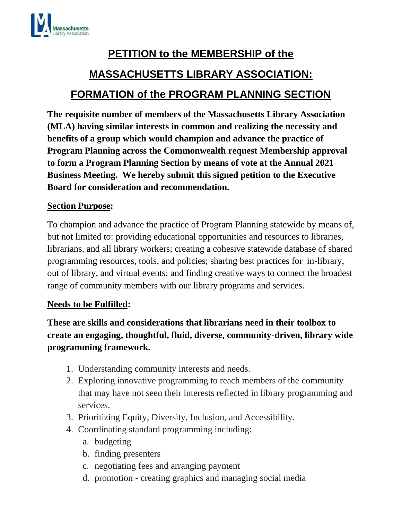

# **PETITION to the MEMBERSHIP of the MASSACHUSETTS LIBRARY ASSOCIATION: FORMATION of the PROGRAM PLANNING SECTION**

**The requisite number of members of the Massachusetts Library Association (MLA) having similar interests in common and realizing the necessity and benefits of a group which would champion and advance the practice of Program Planning across the Commonwealth request Membership approval to form a Program Planning Section by means of vote at the Annual 2021 Business Meeting. We hereby submit this signed petition to the Executive Board for consideration and recommendation.**

### **Section Purpose:**

To champion and advance the practice of Program Planning statewide by means of, but not limited to: providing educational opportunities and resources to libraries, librarians, and all library workers; creating a cohesive statewide database of shared programming resources, tools, and policies; sharing best practices for in-library, out of library, and virtual events; and finding creative ways to connect the broadest range of community members with our library programs and services.

#### **Needs to be Fulfilled:**

## **These are skills and considerations that librarians need in their toolbox to create an engaging, thoughtful, fluid, diverse, community-driven, library wide programming framework.**

- 1. Understanding community interests and needs.
- 2. Exploring innovative programming to reach members of the community that may have not seen their interests reflected in library programming and services.
- 3. Prioritizing Equity, Diversity, Inclusion, and Accessibility.
- 4. Coordinating standard programming including:
	- a. budgeting
	- b. finding presenters
	- c. negotiating fees and arranging payment
	- d. promotion creating graphics and managing social media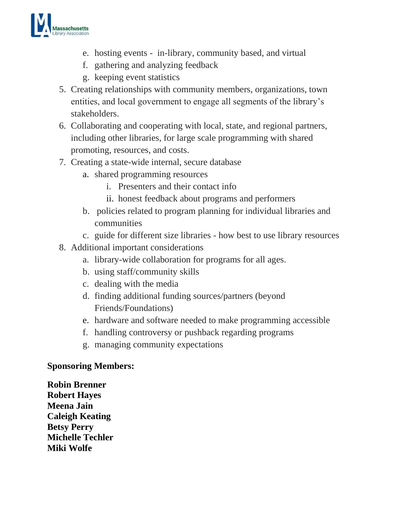

- e. hosting events in-library, community based, and virtual
- f. gathering and analyzing feedback
- g. keeping event statistics
- 5. Creating relationships with community members, organizations, town entities, and local government to engage all segments of the library's stakeholders.
- 6. Collaborating and cooperating with local, state, and regional partners, including other libraries, for large scale programming with shared promoting, resources, and costs.
- 7. Creating a state-wide internal, secure database
	- a. shared programming resources
		- i. Presenters and their contact info
		- ii. honest feedback about programs and performers
	- b. policies related to program planning for individual libraries and communities
	- c. guide for different size libraries how best to use library resources
- 8. Additional important considerations
	- a. library-wide collaboration for programs for all ages.
	- b. using staff/community skills
	- c. dealing with the media
	- d. finding additional funding sources/partners (beyond Friends/Foundations)
	- e. hardware and software needed to make programming accessible
	- f. handling controversy or pushback regarding programs
	- g. managing community expectations

## **Sponsoring Members:**

**Robin Brenner Robert Hayes Meena Jain Caleigh Keating Betsy Perry Michelle Techler Miki Wolfe**